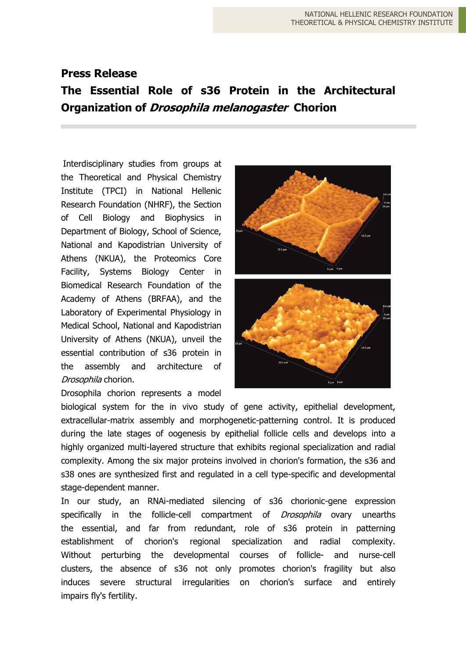## **Press Release**

## **Τhe Essential Role of s36 Protein in the Architectural Organization of Drosophila melanogaster Chorion**

Interdisciplinary studies from groups at the Theoretical and Physical Chemistry Institute (TPCI) in National Hellenic Research Foundation (NHRF), the Section of Cell Biology and Biophysics in Department of Biology, School of Science, National and Kapodistrian University of Athens (NKUA), the Proteomics Core Facility, Systems Biology Center in Biomedical Research Foundation of the Academy of Athens (BRFAA), and the Laboratory of Experimental Physiology in Medical School, National and Kapodistrian University of Athens (NKUA), unveil the essential contribution of s36 protein in the assembly and architecture of Drosophila chorion.

Drosophila chorion represents a model



biological system for the in vivo study of gene activity, epithelial development, extracellular-matrix assembly and morphogenetic-patterning control. It is produced during the late stages of oogenesis by epithelial follicle cells and develops into a highly organized multi-layered structure that exhibits regional specialization and radial complexity. Among the six major proteins involved in chorion's formation, the s36 and s38 ones are synthesized first and regulated in a cell type-specific and developmental stage-dependent manner.

In our study, an RNAi-mediated silencing of s36 chorionic-gene expression specifically in the follicle-cell compartment of *Drosophila* ovary unearths the essential, and far from redundant, role of s36 protein in patterning establishment of chorion's regional specialization and radial complexity. Without perturbing the developmental courses of follicle- and nurse-cell clusters, the absence of s36 not only promotes chorion's fragility but also induces severe structural irregularities on chorion's surface and entirely impairs fly's fertility.